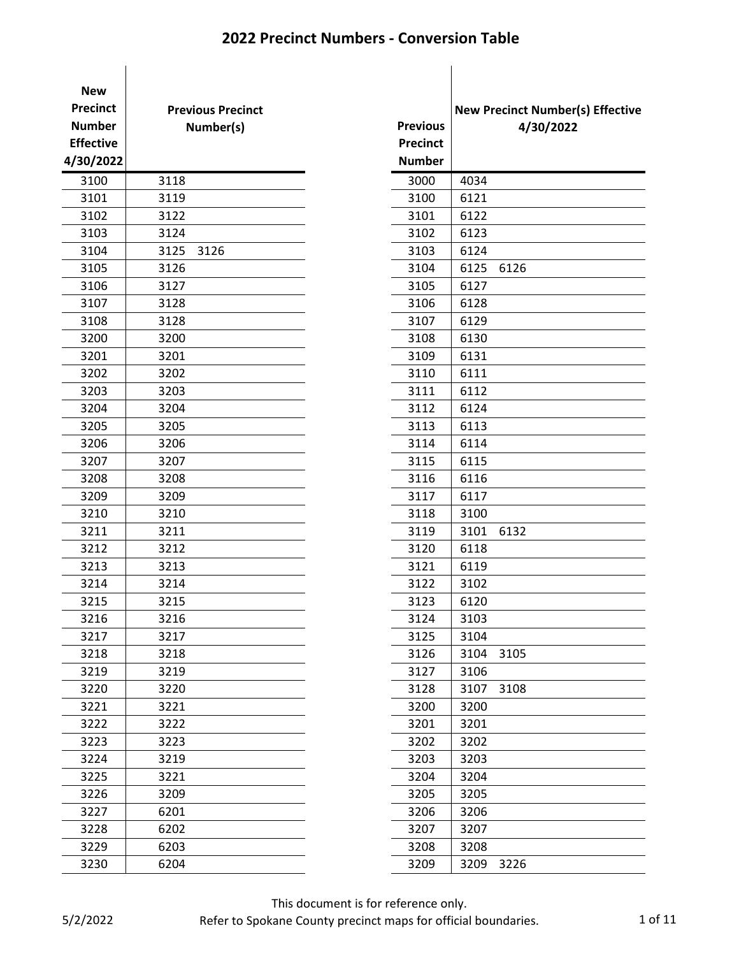| <b>New</b>       |                          |                 |                     |
|------------------|--------------------------|-----------------|---------------------|
| <b>Precinct</b>  | <b>Previous Precinct</b> |                 | <b>New Precinct</b> |
| <b>Number</b>    | Number(s)                | <b>Previous</b> | 4                   |
| <b>Effective</b> |                          | <b>Precinct</b> |                     |
| 4/30/2022        |                          | <b>Number</b>   |                     |
| 3100             | 3118                     | 3000            | 4034                |
| 3101             | 3119                     | 3100            | 6121                |
| 3102             | 3122                     | 3101            | 6122                |
| 3103             | 3124                     | 3102            | 6123                |
| 3104             | 3125<br>3126             | 3103            | 6124                |
| 3105             | 3126                     | 3104            | 6125<br>6126        |
| 3106             | 3127                     | 3105            | 6127                |
| 3107             | 3128                     | 3106            | 6128                |
| 3108             | 3128                     | 3107            | 6129                |
| 3200             | 3200                     | 3108            | 6130                |
| 3201             | 3201                     | 3109            | 6131                |
| 3202             | 3202                     | 3110            | 6111                |
| 3203             | 3203                     | 3111            | 6112                |
| 3204             | 3204                     | 3112            | 6124                |
| 3205             | 3205                     | 3113            | 6113                |
| 3206             | 3206                     | 3114            | 6114                |
| 3207             | 3207                     | 3115            | 6115                |
| 3208             | 3208                     | 3116            | 6116                |
| 3209             | 3209                     | 3117            | 6117                |
| 3210             | 3210                     | 3118            | 3100                |
| 3211             | 3211                     | 3119            | 3101<br>6132        |
| 3212             | 3212                     | 3120            | 6118                |
| 3213             | 3213                     | 3121            | 6119                |
| 3214             | 3214                     | 3122            | 3102                |
| 3215             | 3215                     | 3123            | 6120                |
| 3216             | 3216                     | 3124            | 3103                |
| 3217             | 3217                     | 3125            | 3104                |
| 3218             | 3218                     | 3126            | 3104<br>3105        |
| 3219             | 3219                     | 3127            | 3106                |
| 3220             | 3220                     | 3128            | 3107<br>3108        |
| 3221             | 3221                     | 3200            | 3200                |
| 3222             | 3222                     | 3201            | 3201                |
| 3223             | 3223                     | 3202            | 3202                |
| 3224             | 3219                     | 3203            | 3203                |
| 3225             | 3221                     | 3204            | 3204                |
| 3226             | 3209                     | 3205            | 3205                |
| 3227             | 6201                     | 3206            | 3206                |
| 3228             | 6202                     | 3207            | 3207                |
| 3229             | 6203                     | 3208            | 3208                |
| 3230             | 6204                     | 3209            | 3209<br>3226        |

|                 |      | <b>New Precinct Number(s) Effective</b> |
|-----------------|------|-----------------------------------------|
| <b>Previous</b> |      | 4/30/2022                               |
| <b>Precinct</b> |      |                                         |
| <b>Number</b>   |      |                                         |
| 3000            | 4034 |                                         |
| 3100            | 6121 |                                         |
| 3101            | 6122 |                                         |
| 3102            | 6123 |                                         |
| 3103            | 6124 |                                         |
| 3104            | 6125 | 6126                                    |
| 3105            | 6127 |                                         |
| 3106            | 6128 |                                         |
| 3107            | 6129 |                                         |
| 3108            | 6130 |                                         |
| 3109            | 6131 |                                         |
| 3110            | 6111 |                                         |
| 3111            | 6112 |                                         |
| 3112            | 6124 |                                         |
| 3113            | 6113 |                                         |
| 3114            | 6114 |                                         |
| 3115            | 6115 |                                         |
| 3116            | 6116 |                                         |
| 3117            | 6117 |                                         |
| 3118            | 3100 |                                         |
| 3119            | 3101 | 6132                                    |
| 3120            | 6118 |                                         |
| 3121            | 6119 |                                         |
| 3122            | 3102 |                                         |
| 3123            | 6120 |                                         |
| 3124            | 3103 |                                         |
| 3125            | 3104 |                                         |
| 3126            | 3104 | 3105                                    |
| 3127            | 3106 |                                         |
| 3128            | 3107 | 3108                                    |
| 3200            | 3200 |                                         |
| 3201            | 3201 |                                         |
| 3202            | 3202 |                                         |
| 3203            | 3203 |                                         |
| 3204            | 3204 |                                         |
| 3205            | 3205 |                                         |
| 3206            | 3206 |                                         |
| 3207            | 3207 |                                         |
| 3208            | 3208 |                                         |
| 3209            | 3209 | 3226                                    |

This document is for reference only.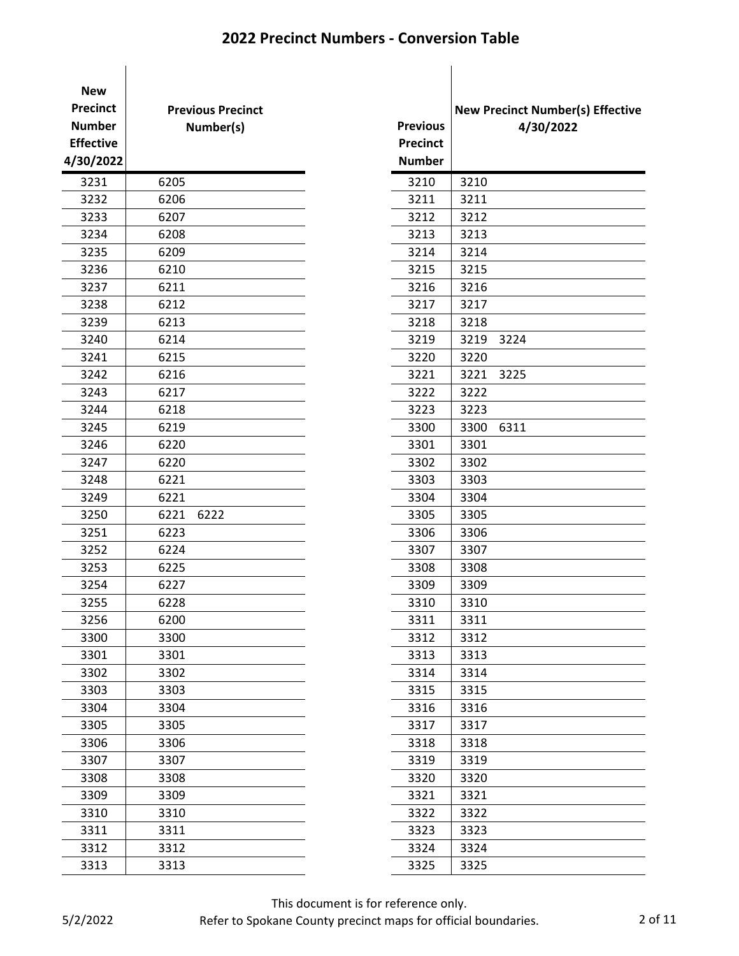| <b>New</b>       |                          |                 |                     |
|------------------|--------------------------|-----------------|---------------------|
| <b>Precinct</b>  | <b>Previous Precinct</b> |                 | <b>New Precinct</b> |
| <b>Number</b>    | Number(s)                | <b>Previous</b> | 4                   |
| <b>Effective</b> |                          | <b>Precinct</b> |                     |
| 4/30/2022        |                          | <b>Number</b>   |                     |
| 3231             | 6205                     | 3210            | 3210                |
| 3232             | 6206                     | 3211            | 3211                |
| 3233             | 6207                     | 3212            | 3212                |
| 3234             | 6208                     | 3213            | 3213                |
| 3235             | 6209                     | 3214            | 3214                |
| 3236             | 6210                     | 3215            | 3215                |
| 3237             | 6211                     | 3216            | 3216                |
| 3238             | 6212                     | 3217            | 3217                |
| 3239             | 6213                     | 3218            | 3218                |
| 3240             | 6214                     | 3219            | 3219<br>3224        |
| 3241             | 6215                     | 3220            | 3220                |
| 3242             | 6216                     | 3221            | 3221<br>3225        |
| 3243             | 6217                     | 3222            | 3222                |
| 3244             | 6218                     | 3223            | 3223                |
| 3245             | 6219                     | 3300            | 3300<br>6311        |
| 3246             | 6220                     | 3301            | 3301                |
| 3247             | 6220                     | 3302            | 3302                |
| 3248             | 6221                     | 3303            | 3303                |
| 3249             | 6221                     | 3304            | 3304                |
| 3250             | 6221<br>6222             | 3305            | 3305                |
| 3251             | 6223                     | 3306            | 3306                |
| 3252             | 6224                     | 3307            | 3307                |
| 3253             | 6225                     | 3308            | 3308                |
| 3254             | 6227                     | 3309            | 3309                |
| 3255             | 6228                     | 3310            | 3310                |
| 3256             | 6200                     | 3311            | 3311                |
| 3300             | 3300                     | 3312            | 3312                |
| 3301             | 3301                     | 3313            | 3313                |
| 3302             | 3302                     | 3314            | 3314                |
| 3303             | 3303                     | 3315            | 3315                |
| 3304             | 3304                     | 3316            | 3316                |
| 3305             | 3305                     | 3317            | 3317                |
| 3306             | 3306                     | 3318            | 3318                |
| 3307             | 3307                     | 3319            | 3319                |
| 3308             | 3308                     | 3320            | 3320                |
| 3309             | 3309                     | 3321            | 3321                |
| 3310             | 3310                     | 3322            | 3322                |
| 3311             | 3311                     | 3323            | 3323                |
| 3312             | 3312                     | 3324            | 3324                |
| 3313             | 3313                     | 3325            | 3325                |

|                 |      | <b>New Precinct Number(s) Effective</b> |
|-----------------|------|-----------------------------------------|
| <b>Previous</b> |      | 4/30/2022                               |
| <b>Precinct</b> |      |                                         |
| <b>Number</b>   |      |                                         |
| 3210            | 3210 |                                         |
| 3211            | 3211 |                                         |
| 3212            | 3212 |                                         |
| 3213            | 3213 |                                         |
| 3214            | 3214 |                                         |
| 3215            | 3215 |                                         |
| 3216            | 3216 |                                         |
| 3217            | 3217 |                                         |
| 3218            | 3218 |                                         |
| 3219            | 3219 | 3224                                    |
| 3220            | 3220 |                                         |
| 3221            | 3221 | 3225                                    |
| 3222            | 3222 |                                         |
| 3223            | 3223 |                                         |
| 3300            | 3300 | 6311                                    |
| 3301            | 3301 |                                         |
| 3302            | 3302 |                                         |
| 3303            | 3303 |                                         |
| 3304            | 3304 |                                         |
| 3305            | 3305 |                                         |
| 3306            | 3306 |                                         |
| 3307            | 3307 |                                         |
| 3308            | 3308 |                                         |
| 3309            | 3309 |                                         |
| 3310            | 3310 |                                         |
| 3311            | 3311 |                                         |
| 3312            | 3312 |                                         |
| 3313            | 3313 |                                         |
| 3314            | 3314 |                                         |
| 3315            | 3315 |                                         |
| 3316            | 3316 |                                         |
| 3317            | 3317 |                                         |
| 3318            | 3318 |                                         |
| 3319            | 3319 |                                         |
| 3320            | 3320 |                                         |
| 3321            | 3321 |                                         |
| 3322            | 3322 |                                         |
| 3323            | 3323 |                                         |
| 3324            | 3324 |                                         |
| 3325            | 3325 |                                         |

This document is for reference only.

Refer to Spokane County precinct maps for official boundaries. 2 of 11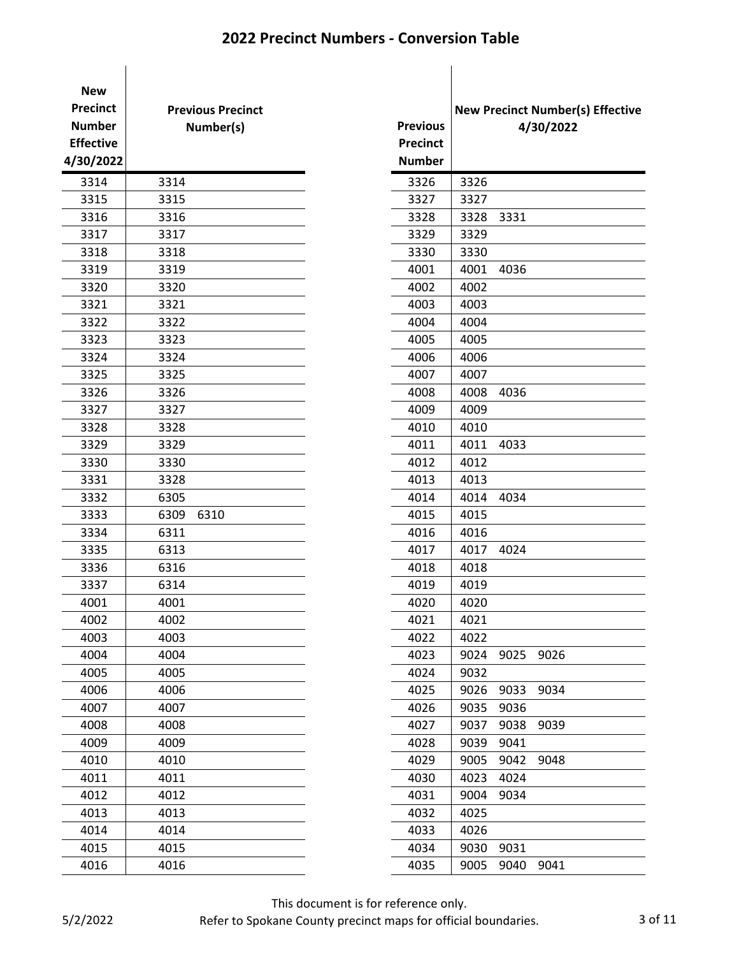| <b>New</b><br><b>Precinct</b><br><b>Number</b><br><b>Effective</b><br>4/30/2022 | <b>Previous Precinct</b><br>Number(s) | <b>Previous</b><br><b>Precinct</b><br><b>Number</b> | <b>New Precinct Numb</b> |      | 4/30/20 |
|---------------------------------------------------------------------------------|---------------------------------------|-----------------------------------------------------|--------------------------|------|---------|
| 3314                                                                            | 3314                                  | 3326                                                | 3326                     |      |         |
| 3315                                                                            | 3315                                  | 3327                                                | 3327                     |      |         |
| 3316                                                                            | 3316                                  | 3328                                                | 3328                     | 3331 |         |
| 3317                                                                            | 3317                                  | 3329                                                | 3329                     |      |         |
| 3318                                                                            | 3318                                  | 3330                                                | 3330                     |      |         |
| 3319                                                                            | 3319                                  | 4001                                                | 4001                     | 4036 |         |
| 3320                                                                            | 3320                                  | 4002                                                | 4002                     |      |         |
| 3321                                                                            | 3321                                  | 4003                                                | 4003                     |      |         |
| 3322                                                                            | 3322                                  | 4004                                                | 4004                     |      |         |
| 3323                                                                            | 3323                                  | 4005                                                | 4005                     |      |         |
| 3324                                                                            | 3324                                  | 4006                                                | 4006                     |      |         |
| 3325                                                                            | 3325                                  | 4007                                                | 4007                     |      |         |
| 3326                                                                            | 3326                                  | 4008                                                | 4008                     | 4036 |         |
| 3327                                                                            | 3327                                  | 4009                                                | 4009                     |      |         |
| 3328                                                                            | 3328                                  | 4010                                                | 4010                     |      |         |
| 3329                                                                            | 3329                                  | 4011                                                | 4011                     | 4033 |         |
| 3330                                                                            | 3330                                  | 4012                                                | 4012                     |      |         |
| 3331                                                                            | 3328                                  | 4013                                                | 4013                     |      |         |
| 3332                                                                            | 6305                                  | 4014                                                | 4014                     | 4034 |         |
| 3333                                                                            | 6309<br>6310                          | 4015                                                | 4015                     |      |         |
| 3334                                                                            | 6311                                  | 4016                                                | 4016                     |      |         |
| 3335                                                                            | 6313                                  | 4017                                                | 4017                     | 4024 |         |
| 3336                                                                            | 6316                                  | 4018                                                | 4018                     |      |         |
| 3337                                                                            | 6314                                  | 4019                                                | 4019                     |      |         |
| 4001                                                                            | 4001                                  | 4020                                                | 4020                     |      |         |
| 4002                                                                            | 4002                                  | 4021                                                | 4021                     |      |         |
| 4003                                                                            | 4003                                  | 4022                                                | 4022                     |      |         |
| 4004                                                                            | 4004                                  | 4023                                                | 9024                     | 9025 | 9026    |
| 4005                                                                            | 4005                                  | 4024                                                | 9032                     |      |         |
| 4006                                                                            | 4006                                  | 4025                                                | 9026                     | 9033 | 9034    |
| 4007                                                                            | 4007                                  | 4026                                                | 9035                     | 9036 |         |
| 4008                                                                            | 4008                                  | 4027                                                | 9037                     | 9038 | 9039    |
| 4009                                                                            | 4009                                  | 4028                                                | 9039                     | 9041 |         |
| 4010                                                                            | 4010                                  | 4029                                                | 9005                     | 9042 | 9048    |
| 4011                                                                            | 4011                                  | 4030                                                | 4023                     | 4024 |         |
| 4012                                                                            | 4012                                  | 4031                                                | 9004                     | 9034 |         |
| 4013                                                                            | 4013                                  | 4032                                                | 4025                     |      |         |
| 4014                                                                            | 4014                                  | 4033                                                | 4026                     |      |         |
| 4015                                                                            | 4015                                  | 4034                                                | 9030                     | 9031 |         |
| 4016                                                                            | 4016                                  | 4035                                                | 9005                     | 9040 | 9041    |

|                 |           |      |      | <b>New Precinct Number(s) Effective</b> |
|-----------------|-----------|------|------|-----------------------------------------|
| <b>Previous</b> | 4/30/2022 |      |      |                                         |
| <b>Precinct</b> |           |      |      |                                         |
| <b>Number</b>   |           |      |      |                                         |
| 3326            | 3326      |      |      |                                         |
| 3327            | 3327      |      |      |                                         |
| 3328            | 3328      | 3331 |      |                                         |
| 3329            | 3329      |      |      |                                         |
| 3330            | 3330      |      |      |                                         |
| 4001            | 4001      | 4036 |      |                                         |
| 4002            | 4002      |      |      |                                         |
| 4003            | 4003      |      |      |                                         |
| 4004            | 4004      |      |      |                                         |
| 4005            | 4005      |      |      |                                         |
| 4006            | 4006      |      |      |                                         |
| 4007            | 4007      |      |      |                                         |
| 4008            | 4008      | 4036 |      |                                         |
| 4009            | 4009      |      |      |                                         |
| 4010            | 4010      |      |      |                                         |
| 4011            | 4011      | 4033 |      |                                         |
| 4012            | 4012      |      |      |                                         |
| 4013            | 4013      |      |      |                                         |
| 4014            | 4014      | 4034 |      |                                         |
| 4015            | 4015      |      |      |                                         |
| 4016            | 4016      |      |      |                                         |
| 4017            | 4017      | 4024 |      |                                         |
| 4018            | 4018      |      |      |                                         |
| 4019            | 4019      |      |      |                                         |
| 4020            | 4020      |      |      |                                         |
| 4021            | 4021      |      |      |                                         |
| 4022            | 4022      |      |      |                                         |
| 4023            | 9024      | 9025 | 9026 |                                         |
| 4024            | 9032      |      |      |                                         |
| 4025            | 9026      | 9033 | 9034 |                                         |
| 4026            | 9035      | 9036 |      |                                         |
| 4027            | 9037      | 9038 | 9039 |                                         |
| 4028            | 9039      | 9041 |      |                                         |
| 4029            | 9005      | 9042 | 9048 |                                         |
| 4030            | 4023      | 4024 |      |                                         |
| 4031            | 9004      | 9034 |      |                                         |
| 4032            | 4025      |      |      |                                         |
| 4033            | 4026      |      |      |                                         |
| 4034            | 9030      | 9031 |      |                                         |
| 4035            | 9005      | 9040 | 9041 |                                         |

5/2/2022

This document is for reference only. Refer to Spokane County precinct maps for official boundaries. 3 of 11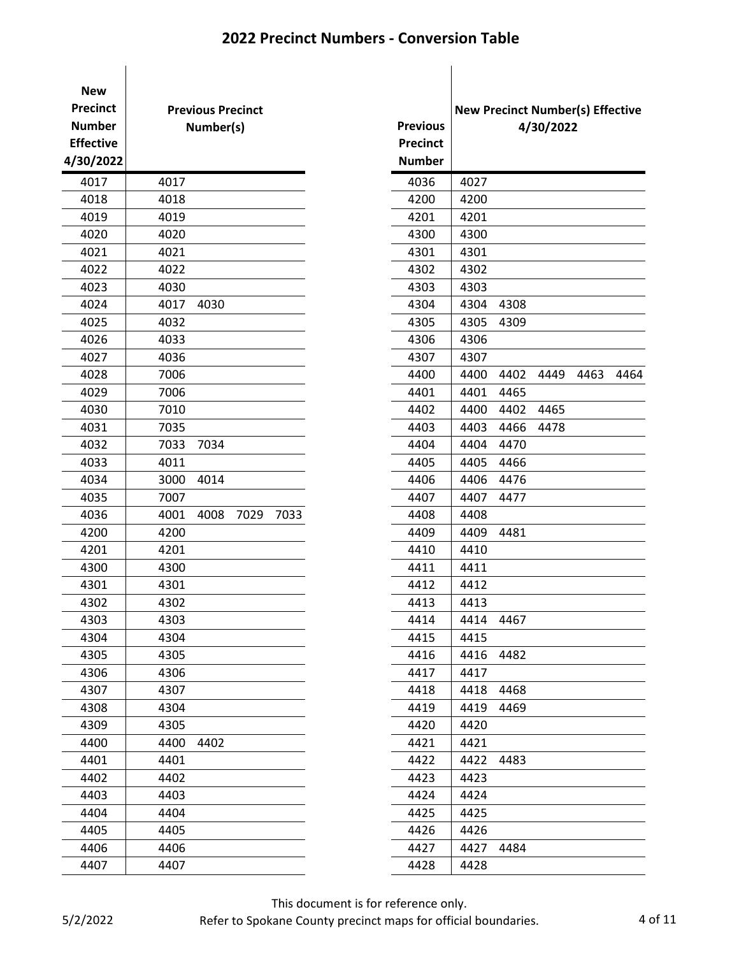| <b>New</b><br><b>Precinct</b><br><b>Number</b><br><b>Effective</b><br>4/30/2022 | <b>Previous Precinct</b><br>Number(s) | <b>Previous</b><br><b>Precinct</b><br><b>Number</b> | <b>New Precinct Numb</b><br>4/30/20 |
|---------------------------------------------------------------------------------|---------------------------------------|-----------------------------------------------------|-------------------------------------|
| 4017                                                                            | 4017                                  | 4036                                                | 4027                                |
| 4018                                                                            | 4018                                  | 4200                                                | 4200                                |
| 4019                                                                            | 4019                                  | 4201                                                | 4201                                |
| 4020                                                                            | 4020                                  | 4300                                                | 4300                                |
| 4021                                                                            | 4021                                  | 4301                                                | 4301                                |
| 4022                                                                            | 4022                                  | 4302                                                | 4302                                |
| 4023                                                                            | 4030                                  | 4303                                                | 4303                                |
| 4024                                                                            | 4017<br>4030                          | 4304                                                | 4304<br>4308                        |
| 4025                                                                            | 4032                                  | 4305                                                | 4305<br>4309                        |
| 4026                                                                            | 4033                                  | 4306                                                | 4306                                |
| 4027                                                                            | 4036                                  | 4307                                                | 4307                                |
| 4028                                                                            | 7006                                  | 4400                                                | 4402<br>4400<br>4449                |
| 4029                                                                            | 7006                                  | 4401                                                | 4401<br>4465                        |
| 4030                                                                            | 7010                                  | 4402                                                | 4402<br>4400<br>4465                |
| 4031                                                                            | 7035                                  | 4403                                                | 4403<br>4466<br>4478                |
| 4032                                                                            | 7033<br>7034                          | 4404                                                | 4404<br>4470                        |
| 4033                                                                            | 4011                                  | 4405                                                | 4405<br>4466                        |
| 4034                                                                            | 3000<br>4014                          | 4406                                                | 4406<br>4476                        |
| 4035                                                                            | 7007                                  | 4407                                                | 4407<br>4477                        |
| 4036                                                                            | 4001<br>4008<br>7029<br>7033          | 4408                                                | 4408                                |
| 4200                                                                            | 4200                                  | 4409                                                | 4409<br>4481                        |
| 4201                                                                            | 4201                                  | 4410                                                | 4410                                |
| 4300                                                                            | 4300                                  | 4411                                                | 4411                                |
| 4301                                                                            | 4301                                  | 4412                                                | 4412                                |
| 4302                                                                            | 4302                                  | 4413                                                | 4413                                |
| 4303                                                                            | 4303                                  | 4414                                                | 4414<br>4467                        |
| 4304                                                                            | 4304                                  | 4415                                                | 4415                                |
| 4305                                                                            | 4305                                  | 4416                                                | 4416<br>4482                        |
| 4306                                                                            | 4306                                  | 4417                                                | 4417                                |
| 4307                                                                            | 4307                                  | 4418                                                | 4418<br>4468                        |
| 4308                                                                            | 4304                                  | 4419                                                | 4419<br>4469                        |
| 4309                                                                            | 4305                                  | 4420                                                | 4420                                |
| 4400                                                                            | 4402<br>4400                          | 4421                                                | 4421                                |
| 4401                                                                            | 4401                                  | 4422                                                | 4483<br>4422                        |
| 4402                                                                            | 4402                                  | 4423                                                | 4423                                |
| 4403                                                                            | 4403                                  | 4424                                                | 4424                                |
| 4404                                                                            | 4404                                  | 4425                                                | 4425                                |
| 4405                                                                            | 4405                                  | 4426                                                | 4426                                |
| 4406                                                                            | 4406                                  | 4427                                                | 4427<br>4484                        |
| 4407                                                                            | 4407                                  | 4428                                                | 4428                                |

| recinct<br>umber<br>fective<br>30/2022 |      | <b>Previous Precinct</b><br>Number(s) |      |      |  | <b>Previous</b><br><b>Precinct</b><br><b>Number</b> | <b>New Precinct Number(s) Effective</b> |      | 4/30/2022 |      |      |
|----------------------------------------|------|---------------------------------------|------|------|--|-----------------------------------------------------|-----------------------------------------|------|-----------|------|------|
| 4017                                   | 4017 |                                       |      |      |  | 4036                                                | 4027                                    |      |           |      |      |
| 4018                                   | 4018 |                                       |      |      |  | 4200                                                | 4200                                    |      |           |      |      |
| 4019                                   | 4019 |                                       |      |      |  | 4201                                                | 4201                                    |      |           |      |      |
| 4020                                   | 4020 |                                       |      |      |  | 4300                                                | 4300                                    |      |           |      |      |
| 4021                                   | 4021 |                                       |      |      |  | 4301                                                | 4301                                    |      |           |      |      |
| 4022                                   | 4022 |                                       |      |      |  | 4302                                                | 4302                                    |      |           |      |      |
| 4023                                   | 4030 |                                       |      |      |  | 4303                                                | 4303                                    |      |           |      |      |
| 4024                                   | 4017 | 4030                                  |      |      |  | 4304                                                | 4304                                    | 4308 |           |      |      |
| 4025                                   | 4032 |                                       |      |      |  | 4305                                                | 4305                                    | 4309 |           |      |      |
| 4026                                   | 4033 |                                       |      |      |  | 4306                                                | 4306                                    |      |           |      |      |
| 4027                                   | 4036 |                                       |      |      |  | 4307                                                | 4307                                    |      |           |      |      |
| 4028                                   | 7006 |                                       |      |      |  | 4400                                                | 4400                                    | 4402 | 4449      | 4463 | 4464 |
| 4029                                   | 7006 |                                       |      |      |  | 4401                                                | 4401                                    | 4465 |           |      |      |
| 4030                                   | 7010 |                                       |      |      |  | 4402                                                | 4400                                    | 4402 | 4465      |      |      |
| 4031                                   | 7035 |                                       |      |      |  | 4403                                                | 4403                                    | 4466 | 4478      |      |      |
| 4032                                   | 7033 | 7034                                  |      |      |  | 4404                                                | 4404                                    | 4470 |           |      |      |
| 4033                                   | 4011 |                                       |      |      |  | 4405                                                | 4405                                    | 4466 |           |      |      |
| 4034                                   | 3000 | 4014                                  |      |      |  | 4406                                                | 4406                                    | 4476 |           |      |      |
| 4035                                   | 7007 |                                       |      |      |  | 4407                                                | 4407                                    | 4477 |           |      |      |
| 4036                                   | 4001 | 4008                                  | 7029 | 7033 |  | 4408                                                | 4408                                    |      |           |      |      |
| 4200                                   | 4200 |                                       |      |      |  | 4409                                                | 4409                                    | 4481 |           |      |      |
| 4201                                   | 4201 |                                       |      |      |  | 4410                                                | 4410                                    |      |           |      |      |
| 4300                                   | 4300 |                                       |      |      |  | 4411                                                | 4411                                    |      |           |      |      |
| 4301                                   | 4301 |                                       |      |      |  | 4412                                                | 4412                                    |      |           |      |      |
| 4302                                   | 4302 |                                       |      |      |  | 4413                                                | 4413                                    |      |           |      |      |
| 4303                                   | 4303 |                                       |      |      |  | 4414                                                | 4414                                    | 4467 |           |      |      |
| 4304                                   | 4304 |                                       |      |      |  | 4415                                                | 4415                                    |      |           |      |      |
| 4305                                   | 4305 |                                       |      |      |  | 4416                                                | 4416                                    | 4482 |           |      |      |
| 4306                                   | 4306 |                                       |      |      |  | 4417                                                | 4417                                    |      |           |      |      |
| 4307                                   | 4307 |                                       |      |      |  | 4418                                                | 4418                                    | 4468 |           |      |      |
| 4308                                   | 4304 |                                       |      |      |  | 4419                                                | 4419                                    | 4469 |           |      |      |
| 4309                                   | 4305 |                                       |      |      |  | 4420                                                | 4420                                    |      |           |      |      |
| 4400                                   | 4400 | 4402                                  |      |      |  | 4421                                                | 4421                                    |      |           |      |      |
| 4401                                   | 4401 |                                       |      |      |  | 4422                                                | 4422                                    | 4483 |           |      |      |
| 4402                                   | 4402 |                                       |      |      |  | 4423                                                | 4423                                    |      |           |      |      |
| 4403                                   | 4403 |                                       |      |      |  | 4424                                                | 4424                                    |      |           |      |      |
| 4404                                   | 4404 |                                       |      |      |  | 4425                                                | 4425                                    |      |           |      |      |
| 4405                                   | 4405 |                                       |      |      |  | 4426                                                | 4426                                    |      |           |      |      |
| 4406                                   | 4406 |                                       |      |      |  | 4427                                                | 4427                                    | 4484 |           |      |      |
| 4407                                   | 4407 |                                       |      |      |  | 4428                                                | 4428                                    |      |           |      |      |

This document is for reference only.

Refer to Spokane County precinct maps for official boundaries. 4 of 11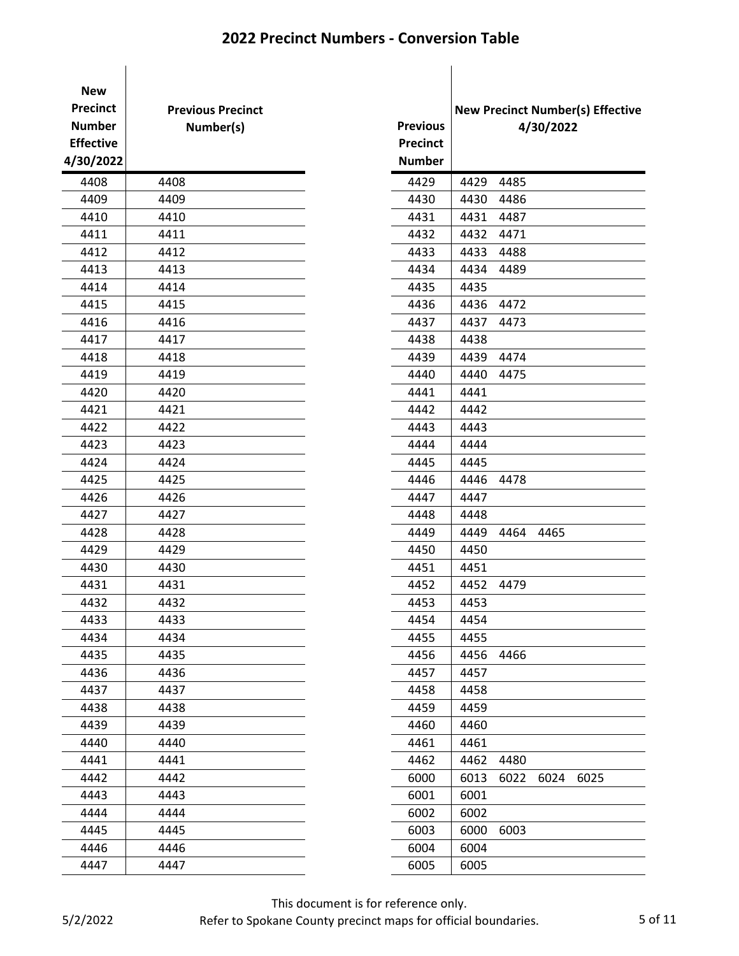| <b>New</b><br><b>Precinct</b><br><b>Number</b><br><b>Effective</b><br>4/30/2022 | <b>Previous Precinct</b><br>Number(s) | <b>Previous</b><br><b>Precinct</b><br><b>Number</b> | <b>New Precinct Number(s) Ef</b> |      | 4/30/2022 |  |
|---------------------------------------------------------------------------------|---------------------------------------|-----------------------------------------------------|----------------------------------|------|-----------|--|
| 4408                                                                            | 4408                                  | 4429                                                | 4429                             | 4485 |           |  |
| 4409                                                                            | 4409                                  | 4430                                                | 4430                             | 4486 |           |  |
| 4410                                                                            | 4410                                  | 4431                                                | 4431                             | 4487 |           |  |
| 4411                                                                            | 4411                                  | 4432                                                | 4432                             | 4471 |           |  |
| 4412                                                                            | 4412                                  | 4433                                                | 4433                             | 4488 |           |  |
| 4413                                                                            | 4413                                  | 4434                                                | 4434                             | 4489 |           |  |
| 4414                                                                            | 4414                                  | 4435                                                | 4435                             |      |           |  |
| 4415                                                                            | 4415                                  | 4436                                                | 4436                             | 4472 |           |  |
| 4416                                                                            | 4416                                  | 4437                                                | 4437                             | 4473 |           |  |
| 4417                                                                            | 4417                                  | 4438                                                | 4438                             |      |           |  |
| 4418                                                                            | 4418                                  | 4439                                                | 4439                             | 4474 |           |  |
| 4419                                                                            | 4419                                  | 4440                                                | 4440                             | 4475 |           |  |
| 4420                                                                            | 4420                                  | 4441                                                | 4441                             |      |           |  |
| 4421                                                                            | 4421                                  | 4442                                                | 4442                             |      |           |  |
| 4422                                                                            | 4422                                  | 4443                                                | 4443                             |      |           |  |
| 4423                                                                            | 4423                                  | 4444                                                | 4444                             |      |           |  |
| 4424                                                                            | 4424                                  | 4445                                                | 4445                             |      |           |  |
| 4425                                                                            | 4425                                  | 4446                                                | 4446                             | 4478 |           |  |
| 4426                                                                            | 4426                                  | 4447                                                | 4447                             |      |           |  |
| 4427                                                                            | 4427                                  | 4448                                                | 4448                             |      |           |  |
| 4428                                                                            | 4428                                  | 4449                                                | 4449                             | 4464 | 4465      |  |
| 4429                                                                            | 4429                                  | 4450                                                | 4450                             |      |           |  |
| 4430                                                                            | 4430                                  | 4451                                                | 4451                             |      |           |  |
| 4431                                                                            | 4431                                  | 4452                                                | 4452                             | 4479 |           |  |
| 4432                                                                            | 4432                                  | 4453                                                | 4453                             |      |           |  |
| 4433                                                                            | 4433                                  | 4454                                                | 4454                             |      |           |  |
| 4434                                                                            | 4434                                  | 4455                                                | 4455                             |      |           |  |
| 4435                                                                            | 4435                                  | 4456                                                | 4456                             | 4466 |           |  |
| 4436                                                                            | 4436                                  | 4457                                                | 4457                             |      |           |  |
| 4437                                                                            | 4437                                  | 4458                                                | 4458                             |      |           |  |
| 4438                                                                            | 4438                                  | 4459                                                | 4459                             |      |           |  |
| 4439                                                                            | 4439                                  | 4460                                                | 4460                             |      |           |  |
| 4440                                                                            | 4440                                  | 4461                                                | 4461                             |      |           |  |
| 4441                                                                            | 4441                                  | 4462                                                | 4462                             | 4480 |           |  |
| 4442                                                                            | 4442                                  | 6000                                                | 6013                             | 6022 | 6024 6025 |  |
| 4443                                                                            | 4443                                  | 6001                                                | 6001                             |      |           |  |
| 4444                                                                            | 4444                                  | 6002                                                | 6002                             |      |           |  |
| 4445                                                                            | 4445                                  | 6003                                                | 6000                             | 6003 |           |  |
| 4446                                                                            | 4446                                  | 6004                                                | 6004                             |      |           |  |
| 4447                                                                            | 4447                                  | 6005                                                | 6005                             |      |           |  |
|                                                                                 |                                       |                                                     |                                  |      |           |  |

|                 |           |      |      | <b>New Precinct Number(s) Effective</b> |  |
|-----------------|-----------|------|------|-----------------------------------------|--|
| <b>Previous</b> | 4/30/2022 |      |      |                                         |  |
| <b>Precinct</b> |           |      |      |                                         |  |
| <b>Number</b>   |           |      |      |                                         |  |
| 4429            | 4429      | 4485 |      |                                         |  |
| 4430            | 4430      | 4486 |      |                                         |  |
| 4431            | 4431      | 4487 |      |                                         |  |
| 4432            | 4432      | 4471 |      |                                         |  |
| 4433            | 4433      | 4488 |      |                                         |  |
| 4434            | 4434      | 4489 |      |                                         |  |
| 4435            | 4435      |      |      |                                         |  |
| 4436            | 4436      | 4472 |      |                                         |  |
| 4437            | 4437      | 4473 |      |                                         |  |
| 4438            | 4438      |      |      |                                         |  |
| 4439            | 4439      | 4474 |      |                                         |  |
| 4440            | 4440      | 4475 |      |                                         |  |
| 4441            | 4441      |      |      |                                         |  |
| 4442            | 4442      |      |      |                                         |  |
| 4443            | 4443      |      |      |                                         |  |
| 4444            | 4444      |      |      |                                         |  |
| 4445            | 4445      |      |      |                                         |  |
| 4446            | 4446      | 4478 |      |                                         |  |
| 4447            | 4447      |      |      |                                         |  |
| 4448            | 4448      |      |      |                                         |  |
| 4449            | 4449      | 4464 | 4465 |                                         |  |
| 4450            | 4450      |      |      |                                         |  |
| 4451            | 4451      |      |      |                                         |  |
| 4452            | 4452      | 4479 |      |                                         |  |
| 4453            | 4453      |      |      |                                         |  |
| 4454            | 4454      |      |      |                                         |  |
| 4455            | 4455      |      |      |                                         |  |
| 4456            | 4456      | 4466 |      |                                         |  |
| 4457            | 4457      |      |      |                                         |  |
| 4458            | 4458      |      |      |                                         |  |
| 4459            | 4459      |      |      |                                         |  |
| 4460            | 4460      |      |      |                                         |  |
| 4461            | 4461      |      |      |                                         |  |
| 4462            | 4462      | 4480 |      |                                         |  |
| 6000            | 6013      | 6022 | 6024 | 6025                                    |  |
| 6001            | 6001      |      |      |                                         |  |
| 6002            | 6002      |      |      |                                         |  |
| 6003            | 6000      | 6003 |      |                                         |  |
| 6004            | 6004      |      |      |                                         |  |
| 6005            | 6005      |      |      |                                         |  |

This document is for reference only.

Refer to Spokane County precinct maps for official boundaries. 5 of 11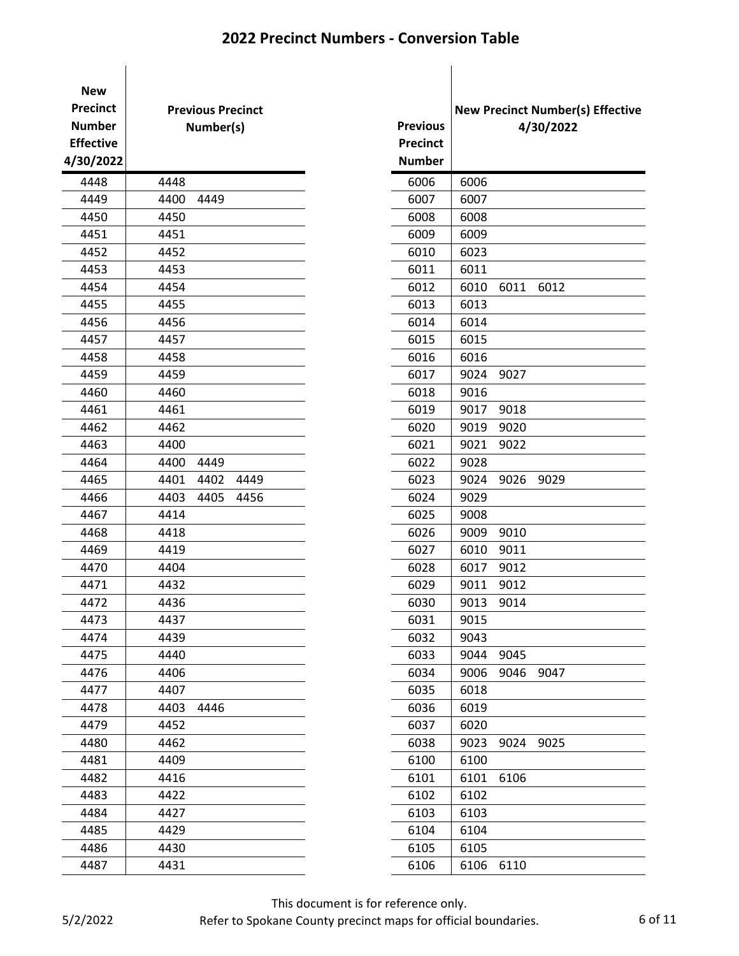| <b>New</b><br><b>Precinct</b><br><b>Number</b><br><b>Effective</b><br>4/30/2022 | <b>Previous Precinct</b><br>Number(s) | <b>Previous</b><br><b>Precinct</b><br><b>Number</b> | <b>New Precinct Numb</b> |      | 4/30/20 |
|---------------------------------------------------------------------------------|---------------------------------------|-----------------------------------------------------|--------------------------|------|---------|
| 4448                                                                            | 4448                                  | 6006                                                | 6006                     |      |         |
| 4449                                                                            | 4400<br>4449                          | 6007                                                | 6007                     |      |         |
| 4450                                                                            | 4450                                  | 6008                                                | 6008                     |      |         |
| 4451                                                                            | 4451                                  | 6009                                                | 6009                     |      |         |
| 4452                                                                            | 4452                                  | 6010                                                | 6023                     |      |         |
| 4453                                                                            | 4453                                  | 6011                                                | 6011                     |      |         |
| 4454                                                                            | 4454                                  | 6012                                                | 6010                     | 6011 | 6012    |
| 4455                                                                            | 4455                                  | 6013                                                | 6013                     |      |         |
| 4456                                                                            | 4456                                  | 6014                                                | 6014                     |      |         |
| 4457                                                                            | 4457                                  | 6015                                                | 6015                     |      |         |
| 4458                                                                            | 4458                                  | 6016                                                | 6016                     |      |         |
| 4459                                                                            | 4459                                  | 6017                                                | 9024                     | 9027 |         |
| 4460                                                                            | 4460                                  | 6018                                                | 9016                     |      |         |
| 4461                                                                            | 4461                                  | 6019                                                | 9017                     | 9018 |         |
| 4462                                                                            | 4462                                  | 6020                                                | 9019                     | 9020 |         |
| 4463                                                                            | 4400                                  | 6021                                                | 9021                     | 9022 |         |
| 4464                                                                            | 4400<br>4449                          | 6022                                                | 9028                     |      |         |
| 4465                                                                            | 4401<br>4402<br>4449                  | 6023                                                | 9024                     | 9026 | 9029    |
| 4466                                                                            | 4403<br>4405<br>4456                  | 6024                                                | 9029                     |      |         |
| 4467                                                                            | 4414                                  | 6025                                                | 9008                     |      |         |
| 4468                                                                            | 4418                                  | 6026                                                | 9009                     | 9010 |         |
| 4469                                                                            | 4419                                  | 6027                                                | 6010                     | 9011 |         |
| 4470                                                                            | 4404                                  | 6028                                                | 6017                     | 9012 |         |
| 4471                                                                            | 4432                                  | 6029                                                | 9011                     | 9012 |         |
| 4472                                                                            | 4436                                  | 6030                                                | 9013                     | 9014 |         |
| 4473                                                                            | 4437                                  | 6031                                                | 9015                     |      |         |
| 4474                                                                            | 4439                                  | 6032                                                | 9043                     |      |         |
| 4475                                                                            | 4440                                  | 6033                                                | 9044                     | 9045 |         |
| 4476                                                                            | 4406                                  | 6034                                                | 9006                     | 9046 | 9047    |
| 4477                                                                            | 4407                                  | 6035                                                | 6018                     |      |         |
| 4478                                                                            | 4403<br>4446                          | 6036                                                | 6019                     |      |         |
| 4479                                                                            | 4452                                  | 6037                                                | 6020                     |      |         |
| 4480                                                                            | 4462                                  | 6038                                                | 9023                     | 9024 | 9025    |
| 4481                                                                            | 4409                                  | 6100                                                | 6100                     |      |         |
| 4482                                                                            | 4416                                  | 6101                                                | 6101                     | 6106 |         |
| 4483                                                                            | 4422                                  | 6102                                                | 6102                     |      |         |
| 4484                                                                            | 4427                                  | 6103                                                | 6103                     |      |         |
| 4485                                                                            | 4429                                  | 6104                                                | 6104                     |      |         |
| 4486                                                                            | 4430                                  | 6105                                                | 6105                     |      |         |
| 4487                                                                            | 4431                                  | 6106                                                | 6106                     | 6110 |         |
|                                                                                 |                                       |                                                     |                          |      |         |

|                 | <b>New Precinct Number(s) Effective</b> |      |           |  |  |  |
|-----------------|-----------------------------------------|------|-----------|--|--|--|
| <b>Previous</b> |                                         |      | 4/30/2022 |  |  |  |
| <b>Precinct</b> |                                         |      |           |  |  |  |
| <b>Number</b>   |                                         |      |           |  |  |  |
| 6006            | 6006                                    |      |           |  |  |  |
| 6007            | 6007                                    |      |           |  |  |  |
| 6008            | 6008                                    |      |           |  |  |  |
| 6009            | 6009                                    |      |           |  |  |  |
| 6010            | 6023                                    |      |           |  |  |  |
| 6011            | 6011                                    |      |           |  |  |  |
| 6012            | 6010                                    | 6011 | 6012      |  |  |  |
| 6013            | 6013                                    |      |           |  |  |  |
| 6014            | 6014                                    |      |           |  |  |  |
| 6015            | 6015                                    |      |           |  |  |  |
| 6016            | 6016                                    |      |           |  |  |  |
| 6017            | 9024                                    | 9027 |           |  |  |  |
| 6018            | 9016                                    |      |           |  |  |  |
| 6019            | 9017                                    | 9018 |           |  |  |  |
| 6020            | 9019                                    | 9020 |           |  |  |  |
| 6021            | 9021                                    | 9022 |           |  |  |  |
| 6022            | 9028                                    |      |           |  |  |  |
| 6023            | 9024                                    | 9026 | 9029      |  |  |  |
| 6024            | 9029                                    |      |           |  |  |  |
| 6025            | 9008                                    |      |           |  |  |  |
| 6026            | 9009                                    | 9010 |           |  |  |  |
| 6027            | 6010                                    | 9011 |           |  |  |  |
| 6028            | 6017                                    | 9012 |           |  |  |  |
| 6029            | 9011                                    | 9012 |           |  |  |  |
| 6030            | 9013                                    | 9014 |           |  |  |  |
| 6031            | 9015                                    |      |           |  |  |  |
| 6032            | 9043                                    |      |           |  |  |  |
| 6033            | 9044                                    | 9045 |           |  |  |  |
| 6034            | 9006                                    | 9046 | 9047      |  |  |  |
| 6035            | 6018                                    |      |           |  |  |  |
| 6036            | 6019                                    |      |           |  |  |  |
| 6037            | 6020                                    |      |           |  |  |  |
| 6038            | 9023                                    | 9024 | 9025      |  |  |  |
| 6100            | 6100                                    |      |           |  |  |  |
| 6101            | 6101                                    | 6106 |           |  |  |  |
| 6102            | 6102                                    |      |           |  |  |  |
| 6103            | 6103                                    |      |           |  |  |  |
| 6104            | 6104                                    |      |           |  |  |  |
| 6105            | 6105                                    |      |           |  |  |  |
| 6106            | 6106                                    | 6110 |           |  |  |  |

This document is for reference only.

Refer to Spokane County precinct maps for official boundaries. 6 of 11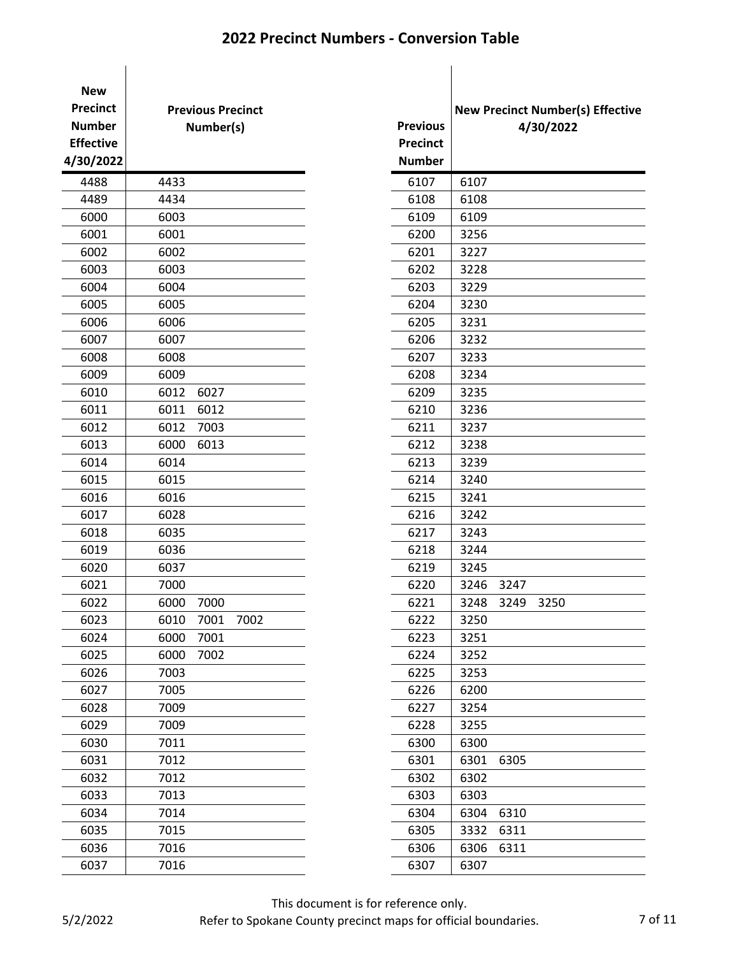| 4488<br>4433<br>6107<br>6107<br>4489<br>4434<br>6108<br>6108<br>6000<br>6003<br>6109<br>6109<br>6001<br>6001<br>6200<br>3256<br>6002<br>6002<br>6201<br>3227<br>6003<br>6003<br>6202<br>3228<br>3229<br>6004<br>6004<br>6203<br>6005<br>6005<br>6204<br>3230<br>6006<br>6006<br>6205<br>3231<br>6007<br>6007<br>3232<br>6206<br>6008<br>6008<br>6207<br>3233<br>6009<br>6009<br>3234<br>6208<br>6010<br>6012<br>6027<br>6209<br>3235<br>6011<br>6011<br>6012<br>6210<br>3236<br>6012<br>6012<br>7003<br>6211<br>3237<br>6013<br>6000<br>6212<br>6013<br>3238<br>6014<br>6014<br>6213<br>3239<br>6015<br>6015<br>6214<br>3240<br>6016<br>6016<br>6215<br>3241<br>6017<br>6028<br>6216<br>3242<br>6018<br>6035<br>6217<br>3243<br>6019<br>6036<br>6218<br>3244<br>6020<br>6037<br>6219<br>3245<br>6021<br>7000<br>6220<br>3246<br>3247<br>6022<br>6000<br>6221<br>3248<br>3249<br>7000<br>7002<br>3250<br>6023<br>6010<br>7001<br>6222<br>6024<br>6000<br>7001<br>3251<br>6223<br>6000<br>7002<br>6025<br>6224<br>3252<br>6026<br>7003<br>3253<br>6225<br>6027<br>7005<br>6226<br>6200<br>6028<br>7009<br>3254<br>6227<br>6029<br>7009<br>3255<br>6228<br>6030<br>7011<br>6300<br>6300<br>6305<br>6031<br>7012<br>6301<br>6301<br>6032<br>7012<br>6302<br>6302<br>6033<br>7013<br>6303<br>6303<br>6034<br>7014<br>6304<br>6304<br>6310<br>7015<br>6035<br>6305<br>3332<br>6311<br>6036<br>7016<br>6306<br>6306<br>6311<br>6037<br>7016<br>6307<br>6307 | <b>New</b><br><b>Precinct</b><br><b>Number</b><br><b>Effective</b><br>4/30/2022 | <b>Previous Precinct</b><br>Number(s) |  | <b>Previous</b><br><b>Precinct</b><br><b>Number</b> | <b>New Precinct Numb</b> | 4/30/20 |
|------------------------------------------------------------------------------------------------------------------------------------------------------------------------------------------------------------------------------------------------------------------------------------------------------------------------------------------------------------------------------------------------------------------------------------------------------------------------------------------------------------------------------------------------------------------------------------------------------------------------------------------------------------------------------------------------------------------------------------------------------------------------------------------------------------------------------------------------------------------------------------------------------------------------------------------------------------------------------------------------------------------------------------------------------------------------------------------------------------------------------------------------------------------------------------------------------------------------------------------------------------------------------------------------------------------------------------------------------------------------------------------------------------------------------------------------------|---------------------------------------------------------------------------------|---------------------------------------|--|-----------------------------------------------------|--------------------------|---------|
|                                                                                                                                                                                                                                                                                                                                                                                                                                                                                                                                                                                                                                                                                                                                                                                                                                                                                                                                                                                                                                                                                                                                                                                                                                                                                                                                                                                                                                                      |                                                                                 |                                       |  |                                                     |                          |         |
|                                                                                                                                                                                                                                                                                                                                                                                                                                                                                                                                                                                                                                                                                                                                                                                                                                                                                                                                                                                                                                                                                                                                                                                                                                                                                                                                                                                                                                                      |                                                                                 |                                       |  |                                                     |                          |         |
|                                                                                                                                                                                                                                                                                                                                                                                                                                                                                                                                                                                                                                                                                                                                                                                                                                                                                                                                                                                                                                                                                                                                                                                                                                                                                                                                                                                                                                                      |                                                                                 |                                       |  |                                                     |                          |         |
|                                                                                                                                                                                                                                                                                                                                                                                                                                                                                                                                                                                                                                                                                                                                                                                                                                                                                                                                                                                                                                                                                                                                                                                                                                                                                                                                                                                                                                                      |                                                                                 |                                       |  |                                                     |                          |         |
|                                                                                                                                                                                                                                                                                                                                                                                                                                                                                                                                                                                                                                                                                                                                                                                                                                                                                                                                                                                                                                                                                                                                                                                                                                                                                                                                                                                                                                                      |                                                                                 |                                       |  |                                                     |                          |         |
|                                                                                                                                                                                                                                                                                                                                                                                                                                                                                                                                                                                                                                                                                                                                                                                                                                                                                                                                                                                                                                                                                                                                                                                                                                                                                                                                                                                                                                                      |                                                                                 |                                       |  |                                                     |                          |         |
|                                                                                                                                                                                                                                                                                                                                                                                                                                                                                                                                                                                                                                                                                                                                                                                                                                                                                                                                                                                                                                                                                                                                                                                                                                                                                                                                                                                                                                                      |                                                                                 |                                       |  |                                                     |                          |         |
|                                                                                                                                                                                                                                                                                                                                                                                                                                                                                                                                                                                                                                                                                                                                                                                                                                                                                                                                                                                                                                                                                                                                                                                                                                                                                                                                                                                                                                                      |                                                                                 |                                       |  |                                                     |                          |         |
|                                                                                                                                                                                                                                                                                                                                                                                                                                                                                                                                                                                                                                                                                                                                                                                                                                                                                                                                                                                                                                                                                                                                                                                                                                                                                                                                                                                                                                                      |                                                                                 |                                       |  |                                                     |                          |         |
|                                                                                                                                                                                                                                                                                                                                                                                                                                                                                                                                                                                                                                                                                                                                                                                                                                                                                                                                                                                                                                                                                                                                                                                                                                                                                                                                                                                                                                                      |                                                                                 |                                       |  |                                                     |                          |         |
|                                                                                                                                                                                                                                                                                                                                                                                                                                                                                                                                                                                                                                                                                                                                                                                                                                                                                                                                                                                                                                                                                                                                                                                                                                                                                                                                                                                                                                                      |                                                                                 |                                       |  |                                                     |                          |         |
|                                                                                                                                                                                                                                                                                                                                                                                                                                                                                                                                                                                                                                                                                                                                                                                                                                                                                                                                                                                                                                                                                                                                                                                                                                                                                                                                                                                                                                                      |                                                                                 |                                       |  |                                                     |                          |         |
|                                                                                                                                                                                                                                                                                                                                                                                                                                                                                                                                                                                                                                                                                                                                                                                                                                                                                                                                                                                                                                                                                                                                                                                                                                                                                                                                                                                                                                                      |                                                                                 |                                       |  |                                                     |                          |         |
|                                                                                                                                                                                                                                                                                                                                                                                                                                                                                                                                                                                                                                                                                                                                                                                                                                                                                                                                                                                                                                                                                                                                                                                                                                                                                                                                                                                                                                                      |                                                                                 |                                       |  |                                                     |                          |         |
|                                                                                                                                                                                                                                                                                                                                                                                                                                                                                                                                                                                                                                                                                                                                                                                                                                                                                                                                                                                                                                                                                                                                                                                                                                                                                                                                                                                                                                                      |                                                                                 |                                       |  |                                                     |                          |         |
|                                                                                                                                                                                                                                                                                                                                                                                                                                                                                                                                                                                                                                                                                                                                                                                                                                                                                                                                                                                                                                                                                                                                                                                                                                                                                                                                                                                                                                                      |                                                                                 |                                       |  |                                                     |                          |         |
|                                                                                                                                                                                                                                                                                                                                                                                                                                                                                                                                                                                                                                                                                                                                                                                                                                                                                                                                                                                                                                                                                                                                                                                                                                                                                                                                                                                                                                                      |                                                                                 |                                       |  |                                                     |                          |         |
|                                                                                                                                                                                                                                                                                                                                                                                                                                                                                                                                                                                                                                                                                                                                                                                                                                                                                                                                                                                                                                                                                                                                                                                                                                                                                                                                                                                                                                                      |                                                                                 |                                       |  |                                                     |                          |         |
|                                                                                                                                                                                                                                                                                                                                                                                                                                                                                                                                                                                                                                                                                                                                                                                                                                                                                                                                                                                                                                                                                                                                                                                                                                                                                                                                                                                                                                                      |                                                                                 |                                       |  |                                                     |                          |         |
|                                                                                                                                                                                                                                                                                                                                                                                                                                                                                                                                                                                                                                                                                                                                                                                                                                                                                                                                                                                                                                                                                                                                                                                                                                                                                                                                                                                                                                                      |                                                                                 |                                       |  |                                                     |                          |         |
|                                                                                                                                                                                                                                                                                                                                                                                                                                                                                                                                                                                                                                                                                                                                                                                                                                                                                                                                                                                                                                                                                                                                                                                                                                                                                                                                                                                                                                                      |                                                                                 |                                       |  |                                                     |                          |         |
|                                                                                                                                                                                                                                                                                                                                                                                                                                                                                                                                                                                                                                                                                                                                                                                                                                                                                                                                                                                                                                                                                                                                                                                                                                                                                                                                                                                                                                                      |                                                                                 |                                       |  |                                                     |                          |         |
|                                                                                                                                                                                                                                                                                                                                                                                                                                                                                                                                                                                                                                                                                                                                                                                                                                                                                                                                                                                                                                                                                                                                                                                                                                                                                                                                                                                                                                                      |                                                                                 |                                       |  |                                                     |                          |         |
|                                                                                                                                                                                                                                                                                                                                                                                                                                                                                                                                                                                                                                                                                                                                                                                                                                                                                                                                                                                                                                                                                                                                                                                                                                                                                                                                                                                                                                                      |                                                                                 |                                       |  |                                                     |                          |         |
|                                                                                                                                                                                                                                                                                                                                                                                                                                                                                                                                                                                                                                                                                                                                                                                                                                                                                                                                                                                                                                                                                                                                                                                                                                                                                                                                                                                                                                                      |                                                                                 |                                       |  |                                                     |                          | 3250    |
|                                                                                                                                                                                                                                                                                                                                                                                                                                                                                                                                                                                                                                                                                                                                                                                                                                                                                                                                                                                                                                                                                                                                                                                                                                                                                                                                                                                                                                                      |                                                                                 |                                       |  |                                                     |                          |         |
|                                                                                                                                                                                                                                                                                                                                                                                                                                                                                                                                                                                                                                                                                                                                                                                                                                                                                                                                                                                                                                                                                                                                                                                                                                                                                                                                                                                                                                                      |                                                                                 |                                       |  |                                                     |                          |         |
|                                                                                                                                                                                                                                                                                                                                                                                                                                                                                                                                                                                                                                                                                                                                                                                                                                                                                                                                                                                                                                                                                                                                                                                                                                                                                                                                                                                                                                                      |                                                                                 |                                       |  |                                                     |                          |         |
|                                                                                                                                                                                                                                                                                                                                                                                                                                                                                                                                                                                                                                                                                                                                                                                                                                                                                                                                                                                                                                                                                                                                                                                                                                                                                                                                                                                                                                                      |                                                                                 |                                       |  |                                                     |                          |         |
|                                                                                                                                                                                                                                                                                                                                                                                                                                                                                                                                                                                                                                                                                                                                                                                                                                                                                                                                                                                                                                                                                                                                                                                                                                                                                                                                                                                                                                                      |                                                                                 |                                       |  |                                                     |                          |         |
|                                                                                                                                                                                                                                                                                                                                                                                                                                                                                                                                                                                                                                                                                                                                                                                                                                                                                                                                                                                                                                                                                                                                                                                                                                                                                                                                                                                                                                                      |                                                                                 |                                       |  |                                                     |                          |         |
|                                                                                                                                                                                                                                                                                                                                                                                                                                                                                                                                                                                                                                                                                                                                                                                                                                                                                                                                                                                                                                                                                                                                                                                                                                                                                                                                                                                                                                                      |                                                                                 |                                       |  |                                                     |                          |         |
|                                                                                                                                                                                                                                                                                                                                                                                                                                                                                                                                                                                                                                                                                                                                                                                                                                                                                                                                                                                                                                                                                                                                                                                                                                                                                                                                                                                                                                                      |                                                                                 |                                       |  |                                                     |                          |         |
|                                                                                                                                                                                                                                                                                                                                                                                                                                                                                                                                                                                                                                                                                                                                                                                                                                                                                                                                                                                                                                                                                                                                                                                                                                                                                                                                                                                                                                                      |                                                                                 |                                       |  |                                                     |                          |         |
|                                                                                                                                                                                                                                                                                                                                                                                                                                                                                                                                                                                                                                                                                                                                                                                                                                                                                                                                                                                                                                                                                                                                                                                                                                                                                                                                                                                                                                                      |                                                                                 |                                       |  |                                                     |                          |         |
|                                                                                                                                                                                                                                                                                                                                                                                                                                                                                                                                                                                                                                                                                                                                                                                                                                                                                                                                                                                                                                                                                                                                                                                                                                                                                                                                                                                                                                                      |                                                                                 |                                       |  |                                                     |                          |         |
|                                                                                                                                                                                                                                                                                                                                                                                                                                                                                                                                                                                                                                                                                                                                                                                                                                                                                                                                                                                                                                                                                                                                                                                                                                                                                                                                                                                                                                                      |                                                                                 |                                       |  |                                                     |                          |         |
|                                                                                                                                                                                                                                                                                                                                                                                                                                                                                                                                                                                                                                                                                                                                                                                                                                                                                                                                                                                                                                                                                                                                                                                                                                                                                                                                                                                                                                                      |                                                                                 |                                       |  |                                                     |                          |         |
|                                                                                                                                                                                                                                                                                                                                                                                                                                                                                                                                                                                                                                                                                                                                                                                                                                                                                                                                                                                                                                                                                                                                                                                                                                                                                                                                                                                                                                                      |                                                                                 |                                       |  |                                                     |                          |         |
|                                                                                                                                                                                                                                                                                                                                                                                                                                                                                                                                                                                                                                                                                                                                                                                                                                                                                                                                                                                                                                                                                                                                                                                                                                                                                                                                                                                                                                                      |                                                                                 |                                       |  |                                                     |                          |         |

|                 |      |      | <b>New Precinct Number(s) Effective</b> |
|-----------------|------|------|-----------------------------------------|
| <b>Previous</b> |      |      | 4/30/2022                               |
| <b>Precinct</b> |      |      |                                         |
| <b>Number</b>   |      |      |                                         |
| 6107            | 6107 |      |                                         |
| 6108            | 6108 |      |                                         |
| 6109            | 6109 |      |                                         |
| 6200            | 3256 |      |                                         |
| 6201            | 3227 |      |                                         |
| 6202            | 3228 |      |                                         |
| 6203            | 3229 |      |                                         |
| 6204            | 3230 |      |                                         |
| 6205            | 3231 |      |                                         |
| 6206            | 3232 |      |                                         |
| 6207            | 3233 |      |                                         |
| 6208            | 3234 |      |                                         |
| 6209            | 3235 |      |                                         |
| 6210            | 3236 |      |                                         |
| 6211            | 3237 |      |                                         |
| 6212            | 3238 |      |                                         |
| 6213            | 3239 |      |                                         |
| 6214            | 3240 |      |                                         |
| 6215            | 3241 |      |                                         |
| 6216            | 3242 |      |                                         |
| 6217            | 3243 |      |                                         |
| 6218            | 3244 |      |                                         |
| 6219            | 3245 |      |                                         |
| 6220            | 3246 | 3247 |                                         |
| 6221            | 3248 | 3249 | 3250                                    |
| 6222            | 3250 |      |                                         |
| 6223            | 3251 |      |                                         |
| 6224            | 3252 |      |                                         |
| 6225            | 3253 |      |                                         |
| 6226            | 6200 |      |                                         |
| 6227            | 3254 |      |                                         |
| 6228            | 3255 |      |                                         |
| 6300            | 6300 |      |                                         |
| 6301            | 6301 | 6305 |                                         |
| 6302            | 6302 |      |                                         |
| 6303            | 6303 |      |                                         |
| 6304            | 6304 | 6310 |                                         |
| 6305            | 3332 | 6311 |                                         |
| 6306            | 6306 | 6311 |                                         |
| 6307            | 6307 |      |                                         |

This document is for reference only.

Refer to Spokane County precinct maps for official boundaries. 7 of 11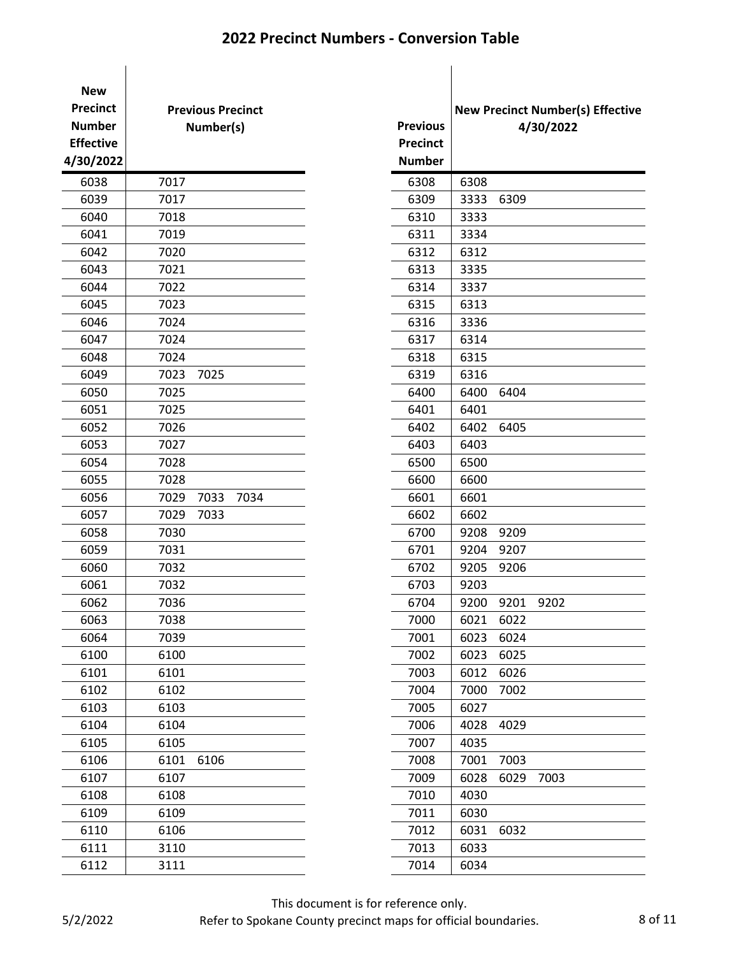| <b>New</b><br><b>Precinct</b><br><b>Number</b><br><b>Effective</b><br>4/30/2022 | <b>Previous Precinct</b><br>Number(s) | <b>Previous</b><br><b>Precinct</b><br><b>Number</b> | <b>New Precinct Numb</b> |      | 4/30/20 |
|---------------------------------------------------------------------------------|---------------------------------------|-----------------------------------------------------|--------------------------|------|---------|
| 6038                                                                            | 7017                                  | 6308                                                | 6308                     |      |         |
| 6039                                                                            | 7017                                  | 6309                                                | 3333                     | 6309 |         |
| 6040                                                                            | 7018                                  | 6310                                                | 3333                     |      |         |
| 6041                                                                            | 7019                                  | 6311                                                | 3334                     |      |         |
| 6042                                                                            | 7020                                  | 6312                                                | 6312                     |      |         |
| 6043                                                                            | 7021                                  | 6313                                                | 3335                     |      |         |
| 6044                                                                            | 7022                                  | 6314                                                | 3337                     |      |         |
| 6045                                                                            | 7023                                  | 6315                                                | 6313                     |      |         |
| 6046                                                                            | 7024                                  | 6316                                                | 3336                     |      |         |
| 6047                                                                            | 7024                                  | 6317                                                | 6314                     |      |         |
| 6048                                                                            | 7024                                  | 6318                                                | 6315                     |      |         |
| 6049                                                                            | 7025<br>7023                          | 6319                                                | 6316                     |      |         |
| 6050                                                                            | 7025                                  | 6400                                                | 6400                     | 6404 |         |
| 6051                                                                            | 7025                                  | 6401                                                | 6401                     |      |         |
| 6052                                                                            | 7026                                  | 6402                                                | 6402                     | 6405 |         |
| 6053                                                                            | 7027                                  | 6403                                                | 6403                     |      |         |
| 6054                                                                            | 7028                                  | 6500                                                | 6500                     |      |         |
| 6055                                                                            | 7028                                  | 6600                                                | 6600                     |      |         |
| 6056                                                                            | 7029<br>7033<br>7034                  | 6601                                                | 6601                     |      |         |
| 6057                                                                            | 7029<br>7033                          | 6602                                                | 6602                     |      |         |
| 6058                                                                            | 7030                                  | 6700                                                | 9208                     | 9209 |         |
| 6059                                                                            | 7031                                  | 6701                                                | 9204                     | 9207 |         |
| 6060                                                                            | 7032                                  | 6702                                                | 9205                     | 9206 |         |
| 6061                                                                            | 7032                                  | 6703                                                | 9203                     |      |         |
| 6062                                                                            | 7036                                  | 6704                                                | 9200                     | 9201 | 9202    |
| 6063                                                                            | 7038                                  | 7000                                                | 6021                     | 6022 |         |
| 6064                                                                            | 7039                                  | 7001                                                | 6023                     | 6024 |         |
| 6100                                                                            | 6100                                  | 7002                                                | 6023                     | 6025 |         |
| 6101                                                                            | 6101                                  | 7003                                                | 6012                     | 6026 |         |
| 6102                                                                            | 6102                                  | 7004                                                | 7000                     | 7002 |         |
| 6103                                                                            | 6103                                  | 7005                                                | 6027                     |      |         |
| 6104                                                                            | 6104                                  | 7006                                                | 4028                     | 4029 |         |
| 6105                                                                            | 6105                                  | 7007                                                | 4035                     |      |         |
| 6106                                                                            | 6106<br>6101                          | 7008                                                | 7001                     | 7003 |         |
| 6107                                                                            | 6107                                  | 7009                                                | 6028                     | 6029 | 7003    |
| 6108                                                                            | 6108                                  | 7010                                                | 4030                     |      |         |
| 6109                                                                            | 6109                                  | 7011                                                | 6030                     |      |         |
| 6110                                                                            | 6106                                  | 7012                                                | 6031                     | 6032 |         |
| 6111                                                                            | 3110                                  | 7013                                                | 6033                     |      |         |
| 6112                                                                            | 3111                                  | 7014                                                | 6034                     |      |         |

| <b>Previous</b> |      |      | <b>New Precinct Number(s) Effective</b><br>4/30/2022 |
|-----------------|------|------|------------------------------------------------------|
| <b>Precinct</b> |      |      |                                                      |
| <b>Number</b>   |      |      |                                                      |
| 6308            | 6308 |      |                                                      |
| 6309            | 3333 | 6309 |                                                      |
| 6310            | 3333 |      |                                                      |
| 6311            | 3334 |      |                                                      |
| 6312            | 6312 |      |                                                      |
| 6313            | 3335 |      |                                                      |
| 6314            | 3337 |      |                                                      |
| 6315            | 6313 |      |                                                      |
| 6316            | 3336 |      |                                                      |
| 6317            | 6314 |      |                                                      |
| 6318            | 6315 |      |                                                      |
| 6319            | 6316 |      |                                                      |
| 6400            | 6400 | 6404 |                                                      |
| 6401            | 6401 |      |                                                      |
| 6402            | 6402 | 6405 |                                                      |
| 6403            | 6403 |      |                                                      |
| 6500            | 6500 |      |                                                      |
| 6600            | 6600 |      |                                                      |
| 6601            | 6601 |      |                                                      |
| 6602            | 6602 |      |                                                      |
| 6700            | 9208 | 9209 |                                                      |
| 6701            | 9204 | 9207 |                                                      |
| 6702            | 9205 | 9206 |                                                      |
| 6703            | 9203 |      |                                                      |
| 6704            | 9200 | 9201 | 9202                                                 |
| 7000            | 6021 | 6022 |                                                      |
| 7001            | 6023 | 6024 |                                                      |
| 7002            | 6023 | 6025 |                                                      |
| 7003            | 6012 | 6026 |                                                      |
| 7004            | 7000 | 7002 |                                                      |
| 7005            | 6027 |      |                                                      |
| 7006            | 4028 | 4029 |                                                      |
| 7007            | 4035 |      |                                                      |
| 7008            | 7001 | 7003 |                                                      |
| 7009            | 6028 | 6029 | 7003                                                 |
| 7010            | 4030 |      |                                                      |
| 7011            | 6030 |      |                                                      |
| 7012            | 6031 | 6032 |                                                      |
| 7013            | 6033 |      |                                                      |
| 7014            | 6034 |      |                                                      |

This document is for reference only.

Refer to Spokane County precinct maps for official boundaries. 8 of 11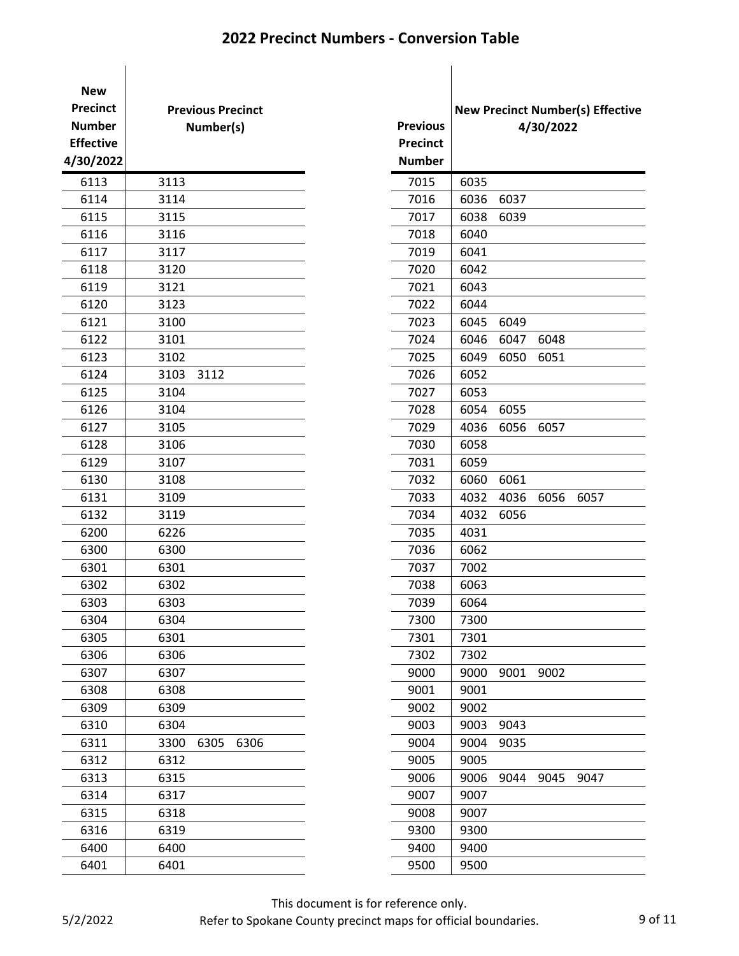| <b>New</b><br><b>Precinct</b><br><b>Number</b><br><b>Effective</b><br>4/30/2022 | <b>Previous Precinct</b><br>Number(s) | <b>Previous</b><br><b>Precinct</b><br><b>Number</b> | <b>New Precinct Number(s) Ef</b> |      | 4/30/2022 |      |
|---------------------------------------------------------------------------------|---------------------------------------|-----------------------------------------------------|----------------------------------|------|-----------|------|
| 6113                                                                            | 3113                                  | 7015                                                | 6035                             |      |           |      |
| 6114                                                                            | 3114                                  | 7016                                                | 6036                             | 6037 |           |      |
| 6115                                                                            | 3115                                  | 7017                                                | 6038                             | 6039 |           |      |
| 6116                                                                            | 3116                                  | 7018                                                | 6040                             |      |           |      |
| 6117                                                                            | 3117                                  | 7019                                                | 6041                             |      |           |      |
| 6118                                                                            | 3120                                  | 7020                                                | 6042                             |      |           |      |
| 6119                                                                            | 3121                                  | 7021                                                | 6043                             |      |           |      |
| 6120                                                                            | 3123                                  | 7022                                                | 6044                             |      |           |      |
| 6121                                                                            | 3100                                  | 7023                                                | 6045                             | 6049 |           |      |
| 6122                                                                            | 3101                                  | 7024                                                | 6046                             | 6047 | 6048      |      |
| 6123                                                                            | 3102                                  | 7025                                                | 6049                             | 6050 | 6051      |      |
| 6124                                                                            | 3103<br>3112                          | 7026                                                | 6052                             |      |           |      |
| 6125                                                                            | 3104                                  | 7027                                                | 6053                             |      |           |      |
| 6126                                                                            | 3104                                  | 7028                                                | 6054                             | 6055 |           |      |
| 6127                                                                            | 3105                                  | 7029                                                | 4036                             | 6056 | 6057      |      |
| 6128                                                                            | 3106                                  | 7030                                                | 6058                             |      |           |      |
| 6129                                                                            | 3107                                  | 7031                                                | 6059                             |      |           |      |
| 6130                                                                            | 3108                                  | 7032                                                | 6060                             | 6061 |           |      |
| 6131                                                                            | 3109                                  | 7033                                                | 4032                             | 4036 | 6056      | 6057 |
| 6132                                                                            | 3119                                  | 7034                                                | 4032                             | 6056 |           |      |
| 6200                                                                            | 6226                                  | 7035                                                | 4031                             |      |           |      |
| 6300                                                                            | 6300                                  | 7036                                                | 6062                             |      |           |      |
| 6301                                                                            | 6301                                  | 7037                                                | 7002                             |      |           |      |
| 6302                                                                            | 6302                                  | 7038                                                | 6063                             |      |           |      |
| 6303                                                                            | 6303                                  | 7039                                                | 6064                             |      |           |      |
| 6304                                                                            | 6304                                  | 7300                                                | 7300                             |      |           |      |
| 6305                                                                            | 6301                                  | 7301                                                | 7301                             |      |           |      |
| 6306                                                                            | 6306                                  | 7302                                                | 7302                             |      |           |      |
| 6307                                                                            | 6307                                  | 9000                                                | 9000                             | 9001 | 9002      |      |
| 6308                                                                            | 6308                                  | 9001                                                | 9001                             |      |           |      |
| 6309                                                                            | 6309                                  | 9002                                                | 9002                             |      |           |      |
| 6310                                                                            | 6304                                  | 9003                                                | 9003                             | 9043 |           |      |
| 6311                                                                            | 3300<br>6305<br>6306                  | 9004                                                | 9004                             | 9035 |           |      |
| 6312                                                                            | 6312                                  | 9005                                                | 9005                             |      |           |      |
| 6313                                                                            | 6315                                  | 9006                                                | 9006                             | 9044 | 9045      | 9047 |
| 6314                                                                            | 6317                                  | 9007                                                | 9007                             |      |           |      |
| 6315                                                                            | 6318                                  | 9008                                                | 9007                             |      |           |      |
| 6316                                                                            | 6319                                  | 9300                                                | 9300                             |      |           |      |
| 6400                                                                            | 6400                                  | 9400                                                | 9400                             |      |           |      |
| 6401                                                                            | 6401                                  | 9500                                                | 9500                             |      |           |      |

|                 |      |      |           | <b>New Precinct Number(s) Effective</b> |  |
|-----------------|------|------|-----------|-----------------------------------------|--|
| <b>Previous</b> |      |      | 4/30/2022 |                                         |  |
| <b>Precinct</b> |      |      |           |                                         |  |
| <b>Number</b>   |      |      |           |                                         |  |
| 7015            | 6035 |      |           |                                         |  |
| 7016            | 6036 | 6037 |           |                                         |  |
| 7017            | 6038 | 6039 |           |                                         |  |
| 7018            | 6040 |      |           |                                         |  |
| 7019            | 6041 |      |           |                                         |  |
| 7020            | 6042 |      |           |                                         |  |
| 7021            | 6043 |      |           |                                         |  |
| 7022            | 6044 |      |           |                                         |  |
| 7023            | 6045 | 6049 |           |                                         |  |
| 7024            | 6046 | 6047 | 6048      |                                         |  |
| 7025            | 6049 | 6050 | 6051      |                                         |  |
| 7026            | 6052 |      |           |                                         |  |
| 7027            | 6053 |      |           |                                         |  |
| 7028            | 6054 | 6055 |           |                                         |  |
| 7029            | 4036 | 6056 | 6057      |                                         |  |
| 7030            | 6058 |      |           |                                         |  |
| 7031            | 6059 |      |           |                                         |  |
| 7032            | 6060 | 6061 |           |                                         |  |
| 7033            | 4032 | 4036 | 6056      | 6057                                    |  |
| 7034            | 4032 | 6056 |           |                                         |  |
| 7035            | 4031 |      |           |                                         |  |
| 7036            | 6062 |      |           |                                         |  |
| 7037            | 7002 |      |           |                                         |  |
| 7038            | 6063 |      |           |                                         |  |
| 7039            | 6064 |      |           |                                         |  |
| 7300            | 7300 |      |           |                                         |  |
| 7301            | 7301 |      |           |                                         |  |
| 7302            | 7302 |      |           |                                         |  |
| 9000            | 9000 | 9001 | 9002      |                                         |  |
| 9001            | 9001 |      |           |                                         |  |
| 9002            | 9002 |      |           |                                         |  |
| 9003            | 9003 | 9043 |           |                                         |  |
| 9004            | 9004 | 9035 |           |                                         |  |
| 9005            | 9005 |      |           |                                         |  |
| 9006            | 9006 | 9044 | 9045      | 9047                                    |  |
| 9007            | 9007 |      |           |                                         |  |
| 9008            | 9007 |      |           |                                         |  |
| 9300            | 9300 |      |           |                                         |  |
| 9400            | 9400 |      |           |                                         |  |
| 9500            | 9500 |      |           |                                         |  |

This document is for reference only.

Refer to Spokane County precinct maps for official boundaries. 9 of 11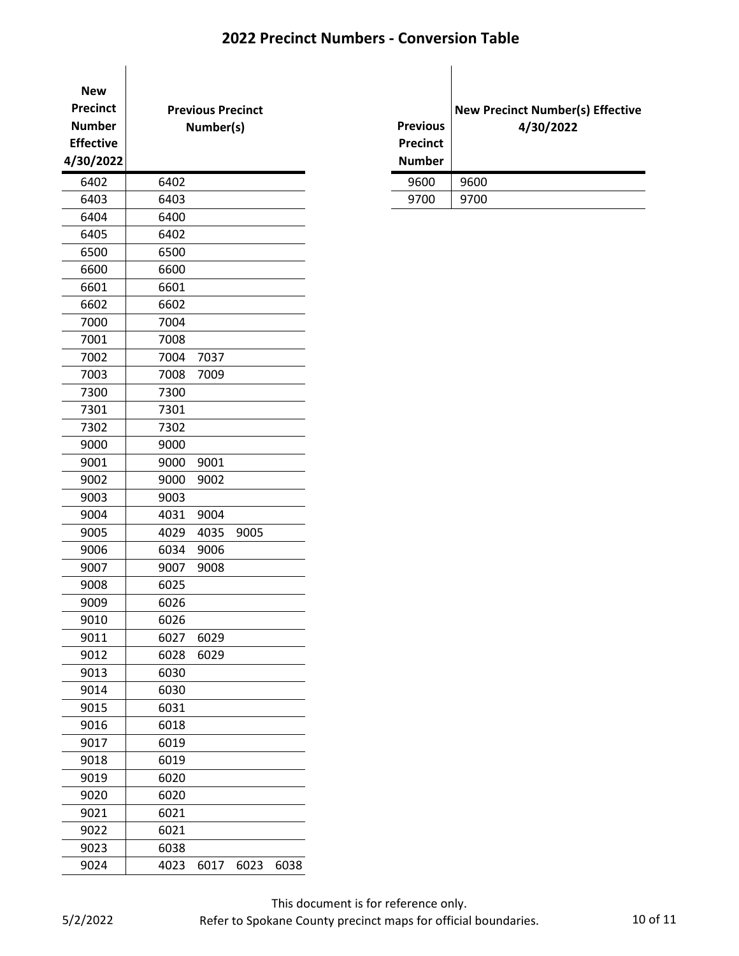| <b>New</b><br><b>Precinct</b><br><b>Number</b><br><b>Effective</b><br>4/30/2022 |      | <b>Previous Precinct</b><br>Number(s) |      |      |  | <b>Previous</b><br><b>Precinct</b><br><b>Number</b> | <b>New F</b> |
|---------------------------------------------------------------------------------|------|---------------------------------------|------|------|--|-----------------------------------------------------|--------------|
| 6402                                                                            | 6402 |                                       |      |      |  | 9600                                                | 9600         |
| 6403                                                                            | 6403 |                                       |      |      |  | 9700                                                | 9700         |
| 6404                                                                            | 6400 |                                       |      |      |  |                                                     |              |
| 6405                                                                            | 6402 |                                       |      |      |  |                                                     |              |
| 6500                                                                            | 6500 |                                       |      |      |  |                                                     |              |
| 6600                                                                            | 6600 |                                       |      |      |  |                                                     |              |
| 6601                                                                            | 6601 |                                       |      |      |  |                                                     |              |
| 6602                                                                            | 6602 |                                       |      |      |  |                                                     |              |
| 7000                                                                            | 7004 |                                       |      |      |  |                                                     |              |
| 7001                                                                            | 7008 |                                       |      |      |  |                                                     |              |
| 7002                                                                            | 7004 | 7037                                  |      |      |  |                                                     |              |
| 7003                                                                            | 7008 | 7009                                  |      |      |  |                                                     |              |
| 7300                                                                            | 7300 |                                       |      |      |  |                                                     |              |
| 7301                                                                            | 7301 |                                       |      |      |  |                                                     |              |
| 7302                                                                            | 7302 |                                       |      |      |  |                                                     |              |
| 9000                                                                            | 9000 |                                       |      |      |  |                                                     |              |
| 9001                                                                            | 9000 | 9001                                  |      |      |  |                                                     |              |
| 9002                                                                            | 9000 | 9002                                  |      |      |  |                                                     |              |
| 9003                                                                            | 9003 |                                       |      |      |  |                                                     |              |
| 9004                                                                            | 4031 | 9004                                  |      |      |  |                                                     |              |
| 9005                                                                            | 4029 | 4035                                  | 9005 |      |  |                                                     |              |
| 9006                                                                            | 6034 | 9006                                  |      |      |  |                                                     |              |
| 9007                                                                            | 9007 | 9008                                  |      |      |  |                                                     |              |
| 9008                                                                            | 6025 |                                       |      |      |  |                                                     |              |
| 9009                                                                            | 6026 |                                       |      |      |  |                                                     |              |
| 9010                                                                            | 6026 |                                       |      |      |  |                                                     |              |
| 9011                                                                            | 6027 | 6029                                  |      |      |  |                                                     |              |
| 9012                                                                            | 6028 | 6029                                  |      |      |  |                                                     |              |
| 9013                                                                            | 6030 |                                       |      |      |  |                                                     |              |
| 9014                                                                            | 6030 |                                       |      |      |  |                                                     |              |
| 9015                                                                            | 6031 |                                       |      |      |  |                                                     |              |
| 9016                                                                            | 6018 |                                       |      |      |  |                                                     |              |
| 9017                                                                            | 6019 |                                       |      |      |  |                                                     |              |
| 9018                                                                            | 6019 |                                       |      |      |  |                                                     |              |
| 9019                                                                            | 6020 |                                       |      |      |  |                                                     |              |
| 9020                                                                            | 6020 |                                       |      |      |  |                                                     |              |
| 9021                                                                            | 6021 |                                       |      |      |  |                                                     |              |
| 9022                                                                            | 6021 |                                       |      |      |  |                                                     |              |
| 9023                                                                            | 6038 |                                       |      |      |  |                                                     |              |
| 9024                                                                            | 4023 | 6017                                  | 6023 | 6038 |  |                                                     |              |
|                                                                                 |      |                                       |      |      |  |                                                     |              |

| <b>Previous</b><br><b>Precinct</b><br><b>Number</b> | <b>New Precinct Number(s) Effective</b><br>4/30/2022 |
|-----------------------------------------------------|------------------------------------------------------|
| 9600                                                | 9600                                                 |
| 9700                                                | 9700                                                 |

This document is for reference only.

Refer to Spokane County precinct maps for official boundaries. 10 0f 11